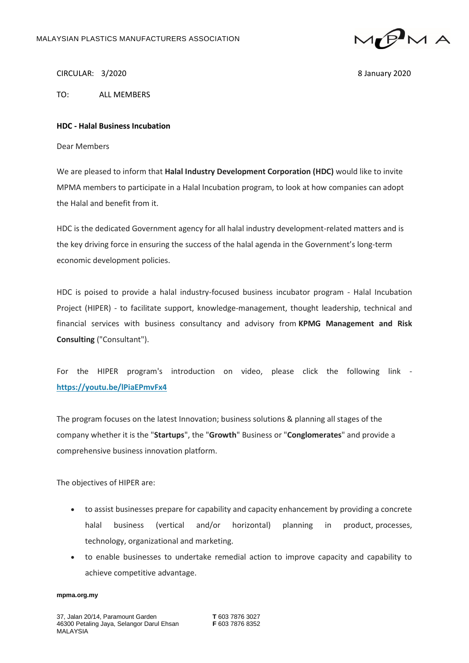

CIRCULAR: 3/2020 8 January 2020

TO: ALL MEMBERS

## **HDC - Halal Business Incubation**

Dear Members

We are pleased to inform that **Halal Industry Development Corporation (HDC)** would like to invite MPMA members to participate in a Halal Incubation program, to look at how companies can adopt the Halal and benefit from it.

HDC is the dedicated Government agency for all halal industry development-related matters and is the key driving force in ensuring the success of the halal agenda in the Government's long-term economic development policies.

HDC is poised to provide a halal industry-focused business incubator program - Halal Incubation Project (HIPER) - to facilitate support, knowledge-management, thought leadership, technical and financial services with business consultancy and advisory from **KPMG Management and Risk Consulting** ("Consultant").

For the HIPER program's introduction on video, please click the following link **[https://youtu.be/lPiaEPmvFx4](https://mpma.us6.list-manage.com/track/click?u=aca43834926ffcc15fb0df291&id=ee7211a1d2&e=4c8305a06d)**

The program focuses on the latest Innovation; business solutions & planning all stages of the company whether it is the "**Startups**", the "**Growth**" Business or "**Conglomerates**" and provide a comprehensive business innovation platform.

The objectives of HIPER are:

- to assist businesses prepare for capability and capacity enhancement by providing a concrete halal business (vertical and/or horizontal) planning in product, processes, technology, organizational and marketing.
- to enable businesses to undertake remedial action to improve capacity and capability to achieve competitive advantage.

## **mpma.org.my**